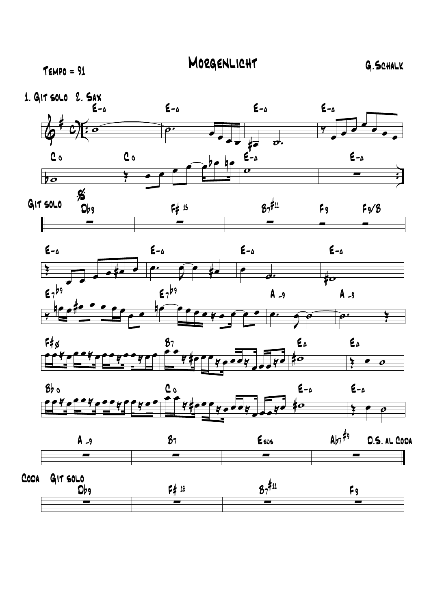MORGENLICHT

## G.SCHALK

 $\epsilon$ -4

 $\epsilon$ -4

4